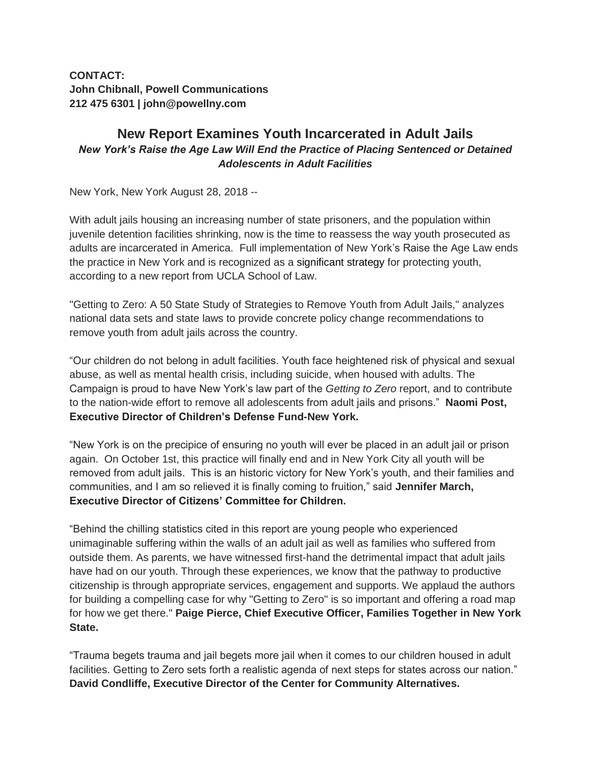**CONTACT: John Chibnall, Powell Communications 212 475 6301 | john@powellny.com**

## **New Report Examines Youth Incarcerated in Adult Jails** *New York's Raise the Age Law Will End the Practice of Placing Sentenced or Detained Adolescents in Adult Facilities*

New York, New York August 28, 2018 --

With adult jails housing an increasing number of state prisoners, and the population within juvenile detention facilities shrinking, now is the time to reassess the way youth prosecuted as adults are incarcerated in America. Full implementation of New York's Raise the Age Law ends the practice in New York and is recognized as a significant strategy for protecting youth, according to a new report from UCLA School of Law.

"Getting to Zero: A 50 State Study of Strategies to Remove Youth from Adult Jails," analyzes national data sets and state laws to provide concrete policy change recommendations to remove youth from adult jails across the country.

"Our children do not belong in adult facilities. Youth face heightened risk of physical and sexual abuse, as well as mental health crisis, including suicide, when housed with adults. The Campaign is proud to have New York's law part of the *Getting to Zero* report, and to contribute to the nation-wide effort to remove all adolescents from adult jails and prisons." **Naomi Post, Executive Director of Children's Defense Fund-New York.** 

"New York is on the precipice of ensuring no youth will ever be placed in an adult jail or prison again. On October 1st, this practice will finally end and in New York City all youth will be removed from adult jails. This is an historic victory for New York's youth, and their families and communities, and I am so relieved it is finally coming to fruition," said **Jennifer March, Executive Director of Citizens' Committee for Children.** 

"Behind the chilling statistics cited in this report are young people who experienced unimaginable suffering within the walls of an adult jail as well as families who suffered from outside them. As parents, we have witnessed first-hand the detrimental impact that adult jails have had on our youth. Through these experiences, we know that the pathway to productive citizenship is through appropriate services, engagement and supports. We applaud the authors for building a compelling case for why "Getting to Zero" is so important and offering a road map for how we get there." **Paige Pierce, Chief Executive Officer, Families Together in New York State.**

"Trauma begets trauma and jail begets more jail when it comes to our children housed in adult facilities. Getting to Zero sets forth a realistic agenda of next steps for states across our nation." **David Condliffe, Executive Director of the Center for Community Alternatives.**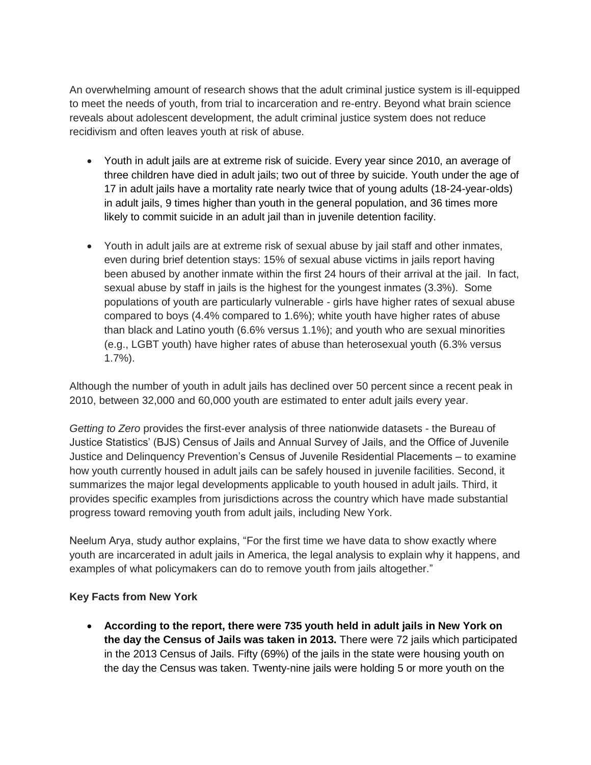An overwhelming amount of research shows that the adult criminal justice system is ill-equipped to meet the needs of youth, from trial to incarceration and re-entry. Beyond what brain science reveals about adolescent development, the adult criminal justice system does not reduce recidivism and often leaves youth at risk of abuse.

- Youth in adult jails are at extreme risk of suicide. Every year since 2010, an average of three children have died in adult jails; two out of three by suicide. Youth under the age of 17 in adult jails have a mortality rate nearly twice that of young adults (18-24-year-olds) in adult jails, 9 times higher than youth in the general population, and 36 times more likely to commit suicide in an adult jail than in juvenile detention facility.
- Youth in adult jails are at extreme risk of sexual abuse by jail staff and other inmates, even during brief detention stays: 15% of sexual abuse victims in jails report having been abused by another inmate within the first 24 hours of their arrival at the jail. In fact, sexual abuse by staff in jails is the highest for the youngest inmates (3.3%). Some populations of youth are particularly vulnerable - girls have higher rates of sexual abuse compared to boys (4.4% compared to 1.6%); white youth have higher rates of abuse than black and Latino youth (6.6% versus 1.1%); and youth who are sexual minorities (e.g., LGBT youth) have higher rates of abuse than heterosexual youth (6.3% versus 1.7%).

Although the number of youth in adult jails has declined over 50 percent since a recent peak in 2010, between 32,000 and 60,000 youth are estimated to enter adult jails every year.

*Getting to Zero* provides the first-ever analysis of three nationwide datasets - the Bureau of Justice Statistics' (BJS) Census of Jails and Annual Survey of Jails, and the Office of Juvenile Justice and Delinquency Prevention's Census of Juvenile Residential Placements – to examine how youth currently housed in adult jails can be safely housed in juvenile facilities. Second, it summarizes the major legal developments applicable to youth housed in adult jails. Third, it provides specific examples from jurisdictions across the country which have made substantial progress toward removing youth from adult jails, including New York.

Neelum Arya, study author explains, "For the first time we have data to show exactly where youth are incarcerated in adult jails in America, the legal analysis to explain why it happens, and examples of what policymakers can do to remove youth from jails altogether."

## **Key Facts from New York**

 **According to the report, there were 735 youth held in adult jails in New York on the day the Census of Jails was taken in 2013.** There were 72 jails which participated in the 2013 Census of Jails. Fifty (69%) of the jails in the state were housing youth on the day the Census was taken. Twenty-nine jails were holding 5 or more youth on the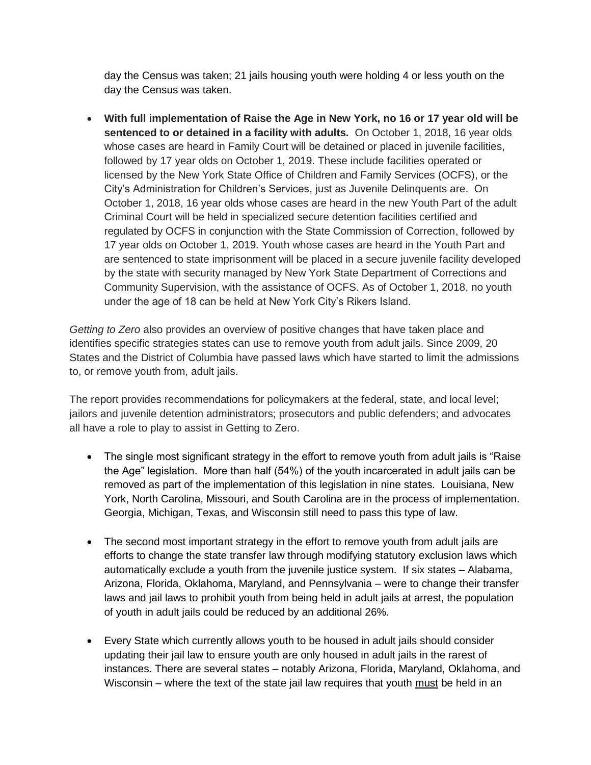day the Census was taken; 21 jails housing youth were holding 4 or less youth on the day the Census was taken.

 **With full implementation of Raise the Age in New York, no 16 or 17 year old will be sentenced to or detained in a facility with adults.** On October 1, 2018, 16 year olds whose cases are heard in Family Court will be detained or placed in juvenile facilities, followed by 17 year olds on October 1, 2019. These include facilities operated or licensed by the New York State Office of Children and Family Services (OCFS), or the City's Administration for Children's Services, just as Juvenile Delinquents are. On October 1, 2018, 16 year olds whose cases are heard in the new Youth Part of the adult Criminal Court will be held in specialized secure detention facilities certified and regulated by OCFS in conjunction with the State Commission of Correction, followed by 17 year olds on October 1, 2019. Youth whose cases are heard in the Youth Part and are sentenced to state imprisonment will be placed in a secure juvenile facility developed by the state with security managed by New York State Department of Corrections and Community Supervision, with the assistance of OCFS. As of October 1, 2018, no youth under the age of 18 can be held at New York City's Rikers Island.

*Getting to Zero* also provides an overview of positive changes that have taken place and identifies specific strategies states can use to remove youth from adult jails. Since 2009, 20 States and the District of Columbia have passed laws which have started to limit the admissions to, or remove youth from, adult jails.

The report provides recommendations for policymakers at the federal, state, and local level; jailors and juvenile detention administrators; prosecutors and public defenders; and advocates all have a role to play to assist in Getting to Zero.

- The single most significant strategy in the effort to remove youth from adult jails is "Raise" the Age" legislation. More than half (54%) of the youth incarcerated in adult jails can be removed as part of the implementation of this legislation in nine states. Louisiana, New York, North Carolina, Missouri, and South Carolina are in the process of implementation. Georgia, Michigan, Texas, and Wisconsin still need to pass this type of law.
- The second most important strategy in the effort to remove youth from adult jails are efforts to change the state transfer law through modifying statutory exclusion laws which automatically exclude a youth from the juvenile justice system.If six states – Alabama, Arizona, Florida, Oklahoma, Maryland, and Pennsylvania – were to change their transfer laws and jail laws to prohibit youth from being held in adult jails at arrest, the population of youth in adult jails could be reduced by an additional 26%.
- Every State which currently allows youth to be housed in adult jails should consider updating their jail law to ensure youth are only housed in adult jails in the rarest of instances. There are several states – notably Arizona, Florida, Maryland, Oklahoma, and Wisconsin – where the text of the state jail law requires that youth must be held in an